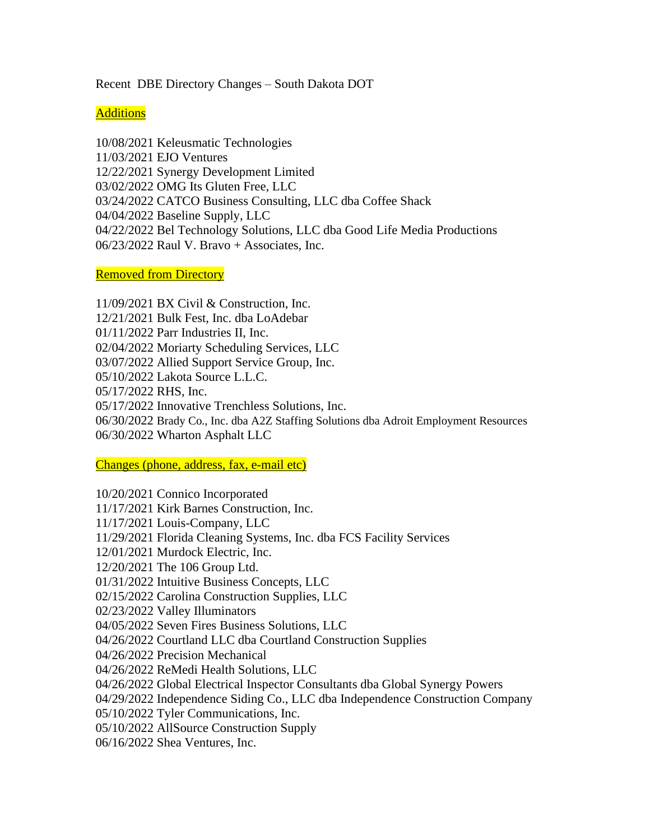Recent DBE Directory Changes – South Dakota DOT

**Additions** 

10/08/2021 Keleusmatic Technologies 11/03/2021 EJO Ventures 12/22/2021 Synergy Development Limited 03/02/2022 OMG Its Gluten Free, LLC 03/24/2022 CATCO Business Consulting, LLC dba Coffee Shack 04/04/2022 Baseline Supply, LLC 04/22/2022 Bel Technology Solutions, LLC dba Good Life Media Productions 06/23/2022 Raul V. Bravo + Associates, Inc.

Removed from Directory

11/09/2021 BX Civil & Construction, Inc. 12/21/2021 Bulk Fest, Inc. dba LoAdebar 01/11/2022 Parr Industries II, Inc. 02/04/2022 Moriarty Scheduling Services, LLC 03/07/2022 Allied Support Service Group, Inc. 05/10/2022 Lakota Source L.L.C. 05/17/2022 RHS, Inc. 05/17/2022 Innovative Trenchless Solutions, Inc. 06/30/2022 Brady Co., Inc. dba A2Z Staffing Solutions dba Adroit Employment Resources 06/30/2022 Wharton Asphalt LLC

Changes (phone, address, fax, e-mail etc)

10/20/2021 Connico Incorporated 11/17/2021 Kirk Barnes Construction, Inc. 11/17/2021 Louis-Company, LLC 11/29/2021 Florida Cleaning Systems, Inc. dba FCS Facility Services 12/01/2021 Murdock Electric, Inc. 12/20/2021 The 106 Group Ltd. 01/31/2022 Intuitive Business Concepts, LLC 02/15/2022 Carolina Construction Supplies, LLC 02/23/2022 Valley Illuminators 04/05/2022 Seven Fires Business Solutions, LLC 04/26/2022 Courtland LLC dba Courtland Construction Supplies 04/26/2022 Precision Mechanical 04/26/2022 ReMedi Health Solutions, LLC 04/26/2022 Global Electrical Inspector Consultants dba Global Synergy Powers 04/29/2022 Independence Siding Co., LLC dba Independence Construction Company 05/10/2022 Tyler Communications, Inc. 05/10/2022 AllSource Construction Supply 06/16/2022 Shea Ventures, Inc.